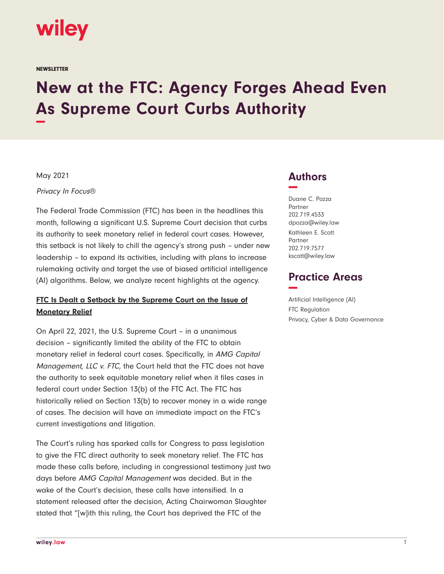

**NEWSLETTER** 

# **New at the FTC: Agency Forges Ahead Even As Supreme Court Curbs Authority −**

May 2021

Privacy In Focus®

The Federal Trade Commission (FTC) has been in the headlines this month, following a significant U.S. Supreme Court decision that curbs its authority to seek monetary relief in federal court cases. However, this setback is not likely to chill the agency's strong push – under new leadership – to expand its activities, including with plans to increase rulemaking activity and target the use of biased artificial intelligence (AI) algorithms. Below, we analyze recent highlights at the agency.

### **FTC Is Dealt a Setback by the Supreme Court on the Issue of Monetary Relief**

On April 22, 2021, the U.S. Supreme Court – in a unanimous decision – significantly limited the ability of the FTC to obtain monetary relief in federal court cases. Specifically, in AMG Capital Management, LLC v. FTC, the Court held that the FTC does not have the authority to seek equitable monetary relief when it files cases in federal court under Section 13(b) of the FTC Act. The FTC has historically relied on Section 13(b) to recover money in a wide range of cases. The decision will have an immediate impact on the FTC's current investigations and litigation.

The Court's ruling has sparked calls for Congress to pass legislation to give the FTC direct authority to seek monetary relief. The FTC has made these calls before, including in congressional testimony just two days before AMG Capital Management was decided. But in the wake of the Court's decision, these calls have intensified. In a statement released after the decision, Acting Chairwoman Slaughter stated that "[w]ith this ruling, the Court has deprived the FTC of the

## **Authors −**

Duane C. Pozza Partner 202.719.4533 dpozza@wiley.law Kathleen E. Scott Partner 202.719.7577 kscott@wiley.law

## **Practice Areas −**

Artificial Intelligence (AI) FTC Regulation Privacy, Cyber & Data Governance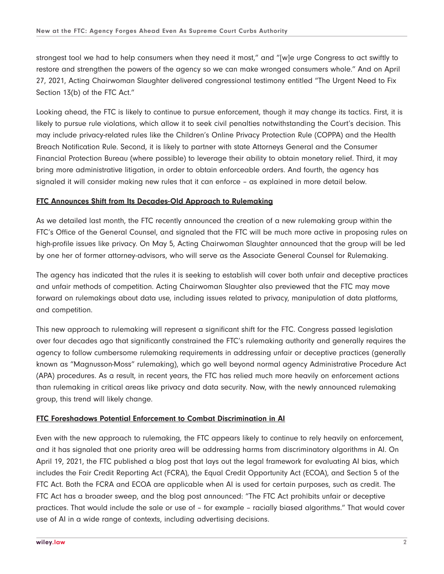strongest tool we had to help consumers when they need it most," and "[w]e urge Congress to act swiftly to restore and strengthen the powers of the agency so we can make wronged consumers whole." And on April 27, 2021, Acting Chairwoman Slaughter delivered congressional testimony entitled "The Urgent Need to Fix Section 13(b) of the FTC Act."

Looking ahead, the FTC is likely to continue to pursue enforcement, though it may change its tactics. First, it is likely to pursue rule violations, which allow it to seek civil penalties notwithstanding the Court's decision. This may include privacy-related rules like the Children's Online Privacy Protection Rule (COPPA) and the Health Breach Notification Rule. Second, it is likely to partner with state Attorneys General and the Consumer Financial Protection Bureau (where possible) to leverage their ability to obtain monetary relief. Third, it may bring more administrative litigation, in order to obtain enforceable orders. And fourth, the agency has signaled it will consider making new rules that it can enforce – as explained in more detail below.

#### **FTC Announces Shift from Its Decades-Old Approach to Rulemaking**

As we detailed last month, the FTC recently announced the creation of a new rulemaking group within the FTC's Office of the General Counsel, and signaled that the FTC will be much more active in proposing rules on high-profile issues like privacy. On May 5, Acting Chairwoman Slaughter announced that the group will be led by one her of former attorney-advisors, who will serve as the Associate General Counsel for Rulemaking.

The agency has indicated that the rules it is seeking to establish will cover both unfair and deceptive practices and unfair methods of competition. Acting Chairwoman Slaughter also previewed that the FTC may move forward on rulemakings about data use, including issues related to privacy, manipulation of data platforms, and competition.

This new approach to rulemaking will represent a significant shift for the FTC. Congress passed legislation over four decades ago that significantly constrained the FTC's rulemaking authority and generally requires the agency to follow cumbersome rulemaking requirements in addressing unfair or deceptive practices (generally known as "Magnusson-Moss" rulemaking), which go well beyond normal agency Administrative Procedure Act (APA) procedures. As a result, in recent years, the FTC has relied much more heavily on enforcement actions than rulemaking in critical areas like privacy and data security. Now, with the newly announced rulemaking group, this trend will likely change.

#### **FTC Foreshadows Potential Enforcement to Combat Discrimination in AI**

Even with the new approach to rulemaking, the FTC appears likely to continue to rely heavily on enforcement, and it has signaled that one priority area will be addressing harms from discriminatory algorithms in AI. On April 19, 2021, the FTC published a blog post that lays out the legal framework for evaluating AI bias, which includes the Fair Credit Reporting Act (FCRA), the Equal Credit Opportunity Act (ECOA), and Section 5 of the FTC Act. Both the FCRA and ECOA are applicable when AI is used for certain purposes, such as credit. The FTC Act has a broader sweep, and the blog post announced: "The FTC Act prohibits unfair or deceptive practices. That would include the sale or use of – for example – racially biased algorithms." That would cover use of AI in a wide range of contexts, including advertising decisions.